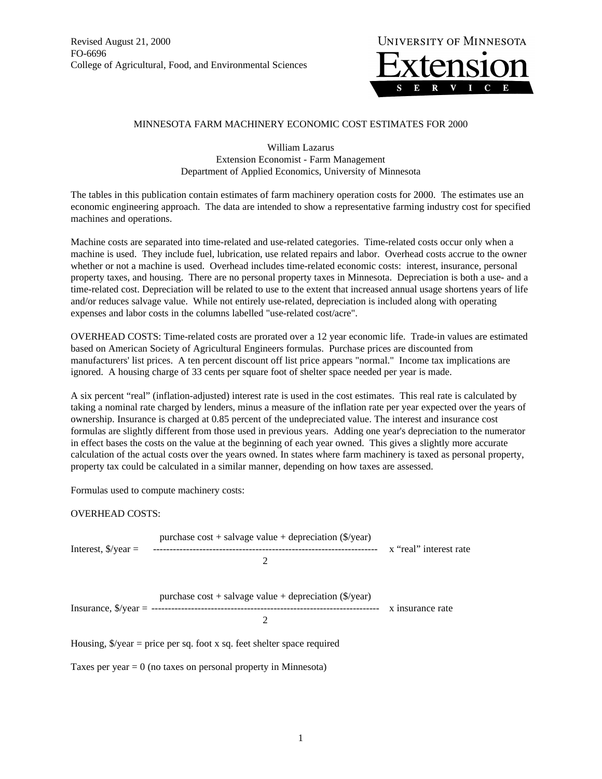Revised August 21, 2000 FO-6696 College of Agricultural, Food, and Environmental Sciences



## MINNESOTA FARM MACHINERY ECONOMIC COST ESTIMATES FOR 2000

William Lazarus Extension Economist - Farm Management Department of Applied Economics, University of Minnesota

The tables in this publication contain estimates of farm machinery operation costs for 2000. The estimates use an economic engineering approach. The data are intended to show a representative farming industry cost for specified machines and operations.

Machine costs are separated into time-related and use-related categories. Time-related costs occur only when a machine is used. They include fuel, lubrication, use related repairs and labor. Overhead costs accrue to the owner whether or not a machine is used. Overhead includes time-related economic costs: interest, insurance, personal property taxes, and housing. There are no personal property taxes in Minnesota. Depreciation is both a use- and a time-related cost. Depreciation will be related to use to the extent that increased annual usage shortens years of life and/or reduces salvage value. While not entirely use-related, depreciation is included along with operating expenses and labor costs in the columns labelled "use-related cost/acre".

OVERHEAD COSTS: Time-related costs are prorated over a 12 year economic life. Trade-in values are estimated based on American Society of Agricultural Engineers formulas. Purchase prices are discounted from manufacturers' list prices. A ten percent discount off list price appears "normal." Income tax implications are ignored. A housing charge of 33 cents per square foot of shelter space needed per year is made.

A six percent "real" (inflation-adjusted) interest rate is used in the cost estimates. This real rate is calculated by taking a nominal rate charged by lenders, minus a measure of the inflation rate per year expected over the years of ownership. Insurance is charged at 0.85 percent of the undepreciated value. The interest and insurance cost formulas are slightly different from those used in previous years. Adding one year's depreciation to the numerator in effect bases the costs on the value at the beginning of each year owned. This gives a slightly more accurate calculation of the actual costs over the years owned. In states where farm machinery is taxed as personal property, property tax could be calculated in a similar manner, depending on how taxes are assessed.

Formulas used to compute machinery costs:

## OVERHEAD COSTS:

|                                           | purchase $cost +$ salvage value + depreciation (\$/year)                        |                        |
|-------------------------------------------|---------------------------------------------------------------------------------|------------------------|
| Interest, $\sqrt{s}$ /year =              |                                                                                 | x "real" interest rate |
| Insurance, $\sqrt{2}$ /year = ----------- | purchase $cost +$ salvage value + depreciation (\$/year)<br>2                   | x insurance rate       |
|                                           | Housing, $\sqrt[6]{\pi}$ = price per sq. foot x sq. feet shelter space required |                        |
|                                           | Taxes per year $= 0$ (no taxes on personal property in Minnesota)               |                        |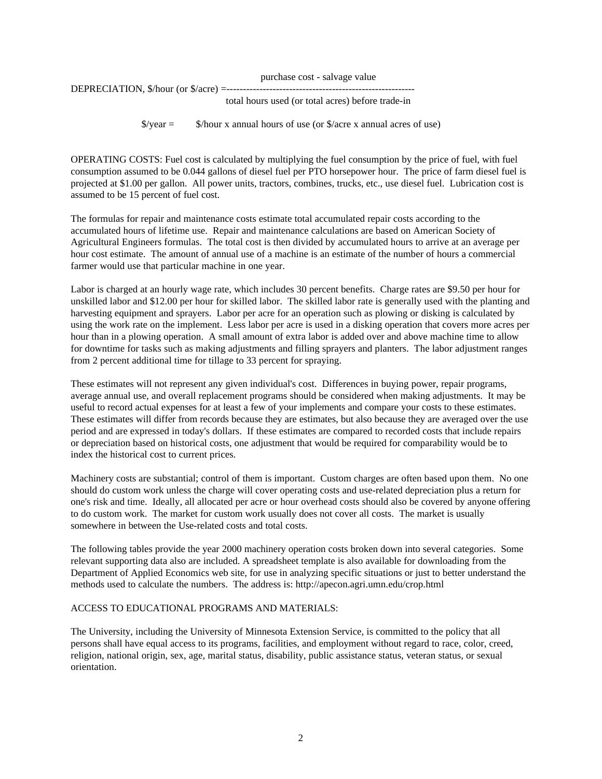| purchase cost - salvage value                     |  |
|---------------------------------------------------|--|
|                                                   |  |
| total hours used (or total acres) before trade-in |  |

 $\sqrt{$}$ /year =  $\sqrt{$}$ /hour x annual hours of use (or  $\sqrt{$}$ /acre x annual acres of use)

OPERATING COSTS: Fuel cost is calculated by multiplying the fuel consumption by the price of fuel, with fuel consumption assumed to be 0.044 gallons of diesel fuel per PTO horsepower hour. The price of farm diesel fuel is projected at \$1.00 per gallon. All power units, tractors, combines, trucks, etc., use diesel fuel. Lubrication cost is assumed to be 15 percent of fuel cost.

The formulas for repair and maintenance costs estimate total accumulated repair costs according to the accumulated hours of lifetime use. Repair and maintenance calculations are based on American Society of Agricultural Engineers formulas. The total cost is then divided by accumulated hours to arrive at an average per hour cost estimate. The amount of annual use of a machine is an estimate of the number of hours a commercial farmer would use that particular machine in one year.

Labor is charged at an hourly wage rate, which includes 30 percent benefits. Charge rates are \$9.50 per hour for unskilled labor and \$12.00 per hour for skilled labor. The skilled labor rate is generally used with the planting and harvesting equipment and sprayers. Labor per acre for an operation such as plowing or disking is calculated by using the work rate on the implement. Less labor per acre is used in a disking operation that covers more acres per hour than in a plowing operation. A small amount of extra labor is added over and above machine time to allow for downtime for tasks such as making adjustments and filling sprayers and planters. The labor adjustment ranges from 2 percent additional time for tillage to 33 percent for spraying.

These estimates will not represent any given individual's cost. Differences in buying power, repair programs, average annual use, and overall replacement programs should be considered when making adjustments. It may be useful to record actual expenses for at least a few of your implements and compare your costs to these estimates. These estimates will differ from records because they are estimates, but also because they are averaged over the use period and are expressed in today's dollars. If these estimates are compared to recorded costs that include repairs or depreciation based on historical costs, one adjustment that would be required for comparability would be to index the historical cost to current prices.

Machinery costs are substantial; control of them is important. Custom charges are often based upon them. No one should do custom work unless the charge will cover operating costs and use-related depreciation plus a return for one's risk and time. Ideally, all allocated per acre or hour overhead costs should also be covered by anyone offering to do custom work. The market for custom work usually does not cover all costs. The market is usually somewhere in between the Use-related costs and total costs.

The following tables provide the year 2000 machinery operation costs broken down into several categories. Some relevant supporting data also are included. A spreadsheet template is also available for downloading from the Department of Applied Economics web site, for use in analyzing specific situations or just to better understand the methods used to calculate the numbers. The address is: http://apecon.agri.umn.edu/crop.html

## ACCESS TO EDUCATIONAL PROGRAMS AND MATERIALS:

The University, including the University of Minnesota Extension Service, is committed to the policy that all persons shall have equal access to its programs, facilities, and employment without regard to race, color, creed, religion, national origin, sex, age, marital status, disability, public assistance status, veteran status, or sexual orientation.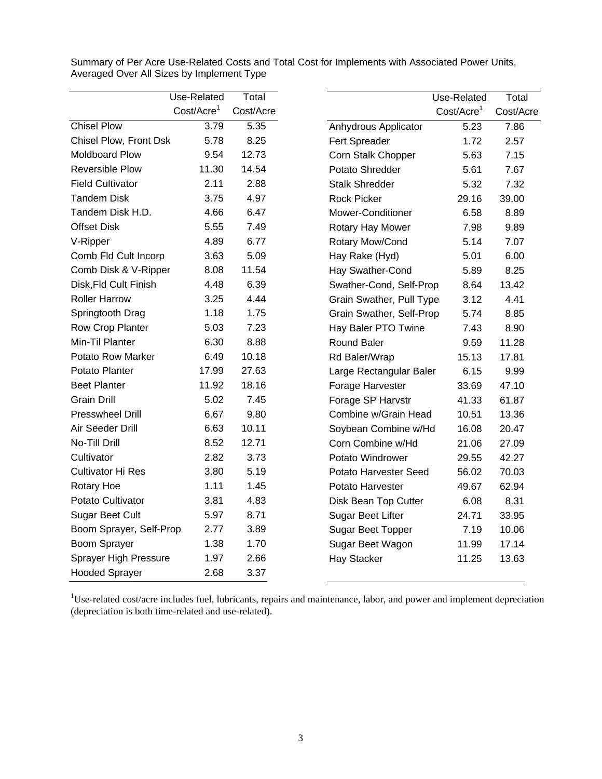|                          | Use-Related            | Total     |                              | Use-Related             | Total     |
|--------------------------|------------------------|-----------|------------------------------|-------------------------|-----------|
|                          | Cost/Acre <sup>1</sup> | Cost/Acre |                              | Cost/Accre <sup>1</sup> | Cost/Acre |
| <b>Chisel Plow</b>       | 3.79                   | 5.35      | Anhydrous Applicator         | 5.23                    | 7.86      |
| Chisel Plow, Front Dsk   | 5.78                   | 8.25      | Fert Spreader                | 1.72                    | 2.57      |
| Moldboard Plow           | 9.54                   | 12.73     | Corn Stalk Chopper           | 5.63                    | 7.15      |
| <b>Reversible Plow</b>   | 11.30                  | 14.54     | Potato Shredder              | 5.61                    | 7.67      |
| <b>Field Cultivator</b>  | 2.11                   | 2.88      | <b>Stalk Shredder</b>        | 5.32                    | 7.32      |
| <b>Tandem Disk</b>       | 3.75                   | 4.97      | <b>Rock Picker</b>           | 29.16                   | 39.00     |
| Tandem Disk H.D.         | 4.66                   | 6.47      | Mower-Conditioner            | 6.58                    | 8.89      |
| <b>Offset Disk</b>       | 5.55                   | 7.49      | Rotary Hay Mower             | 7.98                    | 9.89      |
| V-Ripper                 | 4.89                   | 6.77      | Rotary Mow/Cond              | 5.14                    | 7.07      |
| Comb Fld Cult Incorp     | 3.63                   | 5.09      | Hay Rake (Hyd)               | 5.01                    | 6.00      |
| Comb Disk & V-Ripper     | 8.08                   | 11.54     | Hay Swather-Cond             | 5.89                    | 8.25      |
| Disk, Fld Cult Finish    | 4.48                   | 6.39      | Swather-Cond, Self-Prop      | 8.64                    | 13.42     |
| <b>Roller Harrow</b>     | 3.25                   | 4.44      | Grain Swather, Pull Type     | 3.12                    | 4.41      |
| Springtooth Drag         | 1.18                   | 1.75      | Grain Swather, Self-Prop     | 5.74                    | 8.85      |
| Row Crop Planter         | 5.03                   | 7.23      | Hay Baler PTO Twine          | 7.43                    | 8.90      |
| Min-Til Planter          | 6.30                   | 8.88      | Round Baler                  | 9.59                    | 11.28     |
| <b>Potato Row Marker</b> | 6.49                   | 10.18     | Rd Baler/Wrap                | 15.13                   | 17.81     |
| Potato Planter           | 17.99                  | 27.63     | Large Rectangular Baler      | 6.15                    | 9.99      |
| <b>Beet Planter</b>      | 11.92                  | 18.16     | Forage Harvester             | 33.69                   | 47.10     |
| <b>Grain Drill</b>       | 5.02                   | 7.45      | Forage SP Harvstr            | 41.33                   | 61.87     |
| <b>Presswheel Drill</b>  | 6.67                   | 9.80      | Combine w/Grain Head         | 10.51                   | 13.36     |
| Air Seeder Drill         | 6.63                   | 10.11     | Soybean Combine w/Hd         | 16.08                   | 20.47     |
| No-Till Drill            | 8.52                   | 12.71     | Corn Combine w/Hd            | 21.06                   | 27.09     |
| Cultivator               | 2.82                   | 3.73      | Potato Windrower             | 29.55                   | 42.27     |
| <b>Cultivator Hi Res</b> | 3.80                   | 5.19      | <b>Potato Harvester Seed</b> | 56.02                   | 70.03     |
| Rotary Hoe               | 1.11                   | 1.45      | Potato Harvester             | 49.67                   | 62.94     |
| Potato Cultivator        | 3.81                   | 4.83      | Disk Bean Top Cutter         | 6.08                    | 8.31      |
| <b>Sugar Beet Cult</b>   | 5.97                   | 8.71      | Sugar Beet Lifter            | 24.71                   | 33.95     |
| Boom Sprayer, Self-Prop  | 2.77                   | 3.89      | Sugar Beet Topper            | 7.19                    | 10.06     |
| Boom Sprayer             | 1.38                   | 1.70      | Sugar Beet Wagon             | 11.99                   | 17.14     |
| Sprayer High Pressure    | 1.97                   | 2.66      | Hay Stacker                  | 11.25                   | 13.63     |
| <b>Hooded Sprayer</b>    | 2.68                   | 3.37      |                              |                         |           |

Summary of Per Acre Use-Related Costs and Total Cost for Implements with Associated Power Units, Averaged Over All Sizes by Implement Type

<sup>1</sup>Use-related cost/acre includes fuel, lubricants, repairs and maintenance, labor, and power and implement depreciation (depreciation is both time-related and use-related).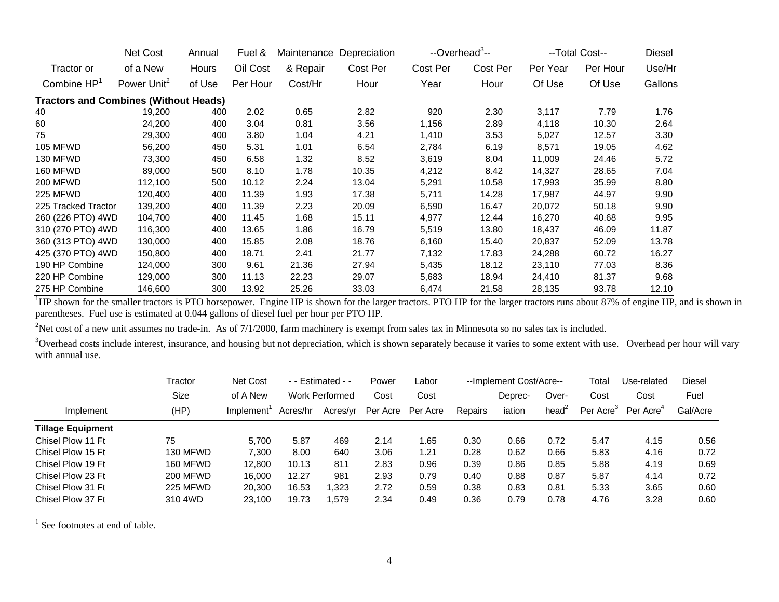|                                              | Net Cost                | Annual | Fuel &   | Maintenance | Depreciation | --Overhead <sup>3</sup> -- |          |          | --Total Cost-- | Diesel  |
|----------------------------------------------|-------------------------|--------|----------|-------------|--------------|----------------------------|----------|----------|----------------|---------|
| Tractor or                                   | of a New                | Hours  | Oil Cost | & Repair    | Cost Per     | Cost Per                   | Cost Per | Per Year | Per Hour       | Use/Hr  |
| Combine $HP1$                                | Power Unit <sup>2</sup> | of Use | Per Hour | Cost/Hr     | Hour         | Year                       | Hour     | Of Use   | Of Use         | Gallons |
| <b>Tractors and Combines (Without Heads)</b> |                         |        |          |             |              |                            |          |          |                |         |
| 40                                           | 19,200                  | 400    | 2.02     | 0.65        | 2.82         | 920                        | 2.30     | 3,117    | 7.79           | 1.76    |
| 60                                           | 24,200                  | 400    | 3.04     | 0.81        | 3.56         | 1,156                      | 2.89     | 4,118    | 10.30          | 2.64    |
| 75                                           | 29,300                  | 400    | 3.80     | 1.04        | 4.21         | 1,410                      | 3.53     | 5,027    | 12.57          | 3.30    |
| <b>105 MFWD</b>                              | 56,200                  | 450    | 5.31     | 1.01        | 6.54         | 2,784                      | 6.19     | 8,571    | 19.05          | 4.62    |
| 130 MFWD                                     | 73,300                  | 450    | 6.58     | 1.32        | 8.52         | 3,619                      | 8.04     | 11,009   | 24.46          | 5.72    |
| 160 MFWD                                     | 89,000                  | 500    | 8.10     | 1.78        | 10.35        | 4,212                      | 8.42     | 14,327   | 28.65          | 7.04    |
| <b>200 MFWD</b>                              | 112,100                 | 500    | 10.12    | 2.24        | 13.04        | 5,291                      | 10.58    | 17,993   | 35.99          | 8.80    |
| 225 MFWD                                     | 120,400                 | 400    | 11.39    | 1.93        | 17.38        | 5,711                      | 14.28    | 17,987   | 44.97          | 9.90    |
| 225 Tracked Tractor                          | 139,200                 | 400    | 11.39    | 2.23        | 20.09        | 6,590                      | 16.47    | 20,072   | 50.18          | 9.90    |
| 260 (226 PTO) 4WD                            | 104,700                 | 400    | 11.45    | 1.68        | 15.11        | 4,977                      | 12.44    | 16,270   | 40.68          | 9.95    |
| 310 (270 PTO) 4WD                            | 116,300                 | 400    | 13.65    | 1.86        | 16.79        | 5,519                      | 13.80    | 18,437   | 46.09          | 11.87   |
| 360 (313 PTO) 4WD                            | 130,000                 | 400    | 15.85    | 2.08        | 18.76        | 6,160                      | 15.40    | 20,837   | 52.09          | 13.78   |
| 425 (370 PTO) 4WD                            | 150,800                 | 400    | 18.71    | 2.41        | 21.77        | 7,132                      | 17.83    | 24,288   | 60.72          | 16.27   |
| 190 HP Combine                               | 124,000                 | 300    | 9.61     | 21.36       | 27.94        | 5,435                      | 18.12    | 23,110   | 77.03          | 8.36    |
| 220 HP Combine                               | 129,000                 | 300    | 11.13    | 22.23       | 29.07        | 5,683                      | 18.94    | 24,410   | 81.37          | 9.68    |
| 275 HP Combine                               | 146,600                 | 300    | 13.92    | 25.26       | 33.03        | 6,474                      | 21.58    | 28,135   | 93.78          | 12.10   |

<sup>1</sup>HP shown for the smaller tractors is PTO horsepower. Engine HP is shown for the larger tractors. PTO HP for the larger tractors runs about 87% of engine HP, and is shown in parentheses. Fuel use is estimated at 0.044 gallons of diesel fuel per hour per PTO HP.

<sup>2</sup>Net cost of a new unit assumes no trade-in. As of  $7/1/2000$ , farm machinery is exempt from sales tax in Minnesota so no sales tax is included.

<sup>3</sup>Overhead costs include interest, insurance, and housing but not depreciation, which is shown separately because it varies to some extent with use. Overhead per hour will vary with annual use.

|                          | Tractor         | Net Cost  |          | $-$ - Estimated - -   |          | Labor    |         | --Implement Cost/Acre-- |                 | Total                 | Use-related           | <b>Diesel</b> |
|--------------------------|-----------------|-----------|----------|-----------------------|----------|----------|---------|-------------------------|-----------------|-----------------------|-----------------------|---------------|
|                          | Size            | of A New  |          | <b>Work Performed</b> | Cost     | Cost     |         | Deprec-                 | Over-           | Cost                  | Cost                  | Fuel          |
| Implement                | (HP)            | Implement | Acres/hr | Acres/yr              | Per Acre | Per Acre | Repairs | iation                  | head $\epsilon$ | Per Acre <sup>3</sup> | Per Acre <sup>4</sup> | Gal/Acre      |
| <b>Tillage Equipment</b> |                 |           |          |                       |          |          |         |                         |                 |                       |                       |               |
| Chisel Plow 11 Ft        | 75              | 5.700     | 5.87     | 469                   | 2.14     | .65      | 0.30    | 0.66                    | 0.72            | 5.47                  | 4.15                  | 0.56          |
| Chisel Plow 15 Ft        | 130 MFWD        | 7.300     | 8.00     | 640                   | 3.06     | 1.21     | 0.28    | 0.62                    | 0.66            | 5.83                  | 4.16                  | 0.72          |
| Chisel Plow 19 Ft        | 160 MFWD        | 12,800    | 10.13    | 811                   | 2.83     | 0.96     | 0.39    | 0.86                    | 0.85            | 5.88                  | 4.19                  | 0.69          |
| Chisel Plow 23 Ft        | <b>200 MFWD</b> | 16.000    | 12.27    | 981                   | 2.93     | 0.79     | 0.40    | 0.88                    | 0.87            | 5.87                  | 4.14                  | 0.72          |
| Chisel Plow 31 Ft        | 225 MFWD        | 20,300    | 16.53    | 1.323                 | 2.72     | 0.59     | 0.38    | 0.83                    | 0.81            | 5.33                  | 3.65                  | 0.60          |
| Chisel Plow 37 Ft        | 310 4WD         | 23.100    | 19.73    | .579                  | 2.34     | 0.49     | 0.36    | 0.79                    | 0.78            | 4.76                  | 3.28                  | 0.60          |

<sup>1</sup> See footnotes at end of table.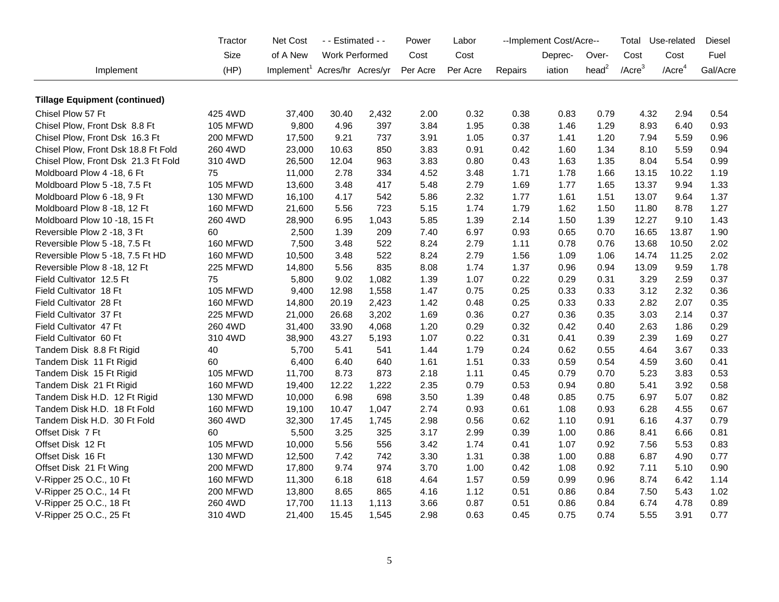|                                      | Tractor         | Net Cost                                 |       | - - Estimated - -     | Power    | Labor    |         | --Implement Cost/Acre-- |           | Total        | Use-related           | <b>Diesel</b> |
|--------------------------------------|-----------------|------------------------------------------|-------|-----------------------|----------|----------|---------|-------------------------|-----------|--------------|-----------------------|---------------|
|                                      | Size            | of A New                                 |       | <b>Work Performed</b> | Cost     | Cost     |         | Deprec-                 | Over-     | Cost         | Cost                  | Fuel          |
| Implement                            | (HP)            | Implement <sup>1</sup> Acres/hr Acres/yr |       |                       | Per Acre | Per Acre | Repairs | iation                  | head $^2$ | $/$ Acre $3$ | $/$ Acre <sup>4</sup> | Gal/Acre      |
|                                      |                 |                                          |       |                       |          |          |         |                         |           |              |                       |               |
| <b>Tillage Equipment (continued)</b> |                 |                                          |       |                       |          |          |         |                         |           |              |                       |               |
| Chisel Plow 57 Ft                    | 425 4WD         | 37,400                                   | 30.40 | 2,432                 | 2.00     | 0.32     | 0.38    | 0.83                    | 0.79      | 4.32         | 2.94                  | 0.54          |
| Chisel Plow, Front Dsk 8.8 Ft        | <b>105 MFWD</b> | 9,800                                    | 4.96  | 397                   | 3.84     | 1.95     | 0.38    | 1.46                    | 1.29      | 8.93         | 6.40                  | 0.93          |
| Chisel Plow, Front Dsk 16.3 Ft       | 200 MFWD        | 17,500                                   | 9.21  | 737                   | 3.91     | 1.05     | 0.37    | 1.41                    | 1.20      | 7.94         | 5.59                  | 0.96          |
| Chisel Plow, Front Dsk 18.8 Ft Fold  | 260 4WD         | 23,000                                   | 10.63 | 850                   | 3.83     | 0.91     | 0.42    | 1.60                    | 1.34      | 8.10         | 5.59                  | 0.94          |
| Chisel Plow, Front Dsk 21.3 Ft Fold  | 310 4WD         | 26,500                                   | 12.04 | 963                   | 3.83     | 0.80     | 0.43    | 1.63                    | 1.35      | 8.04         | 5.54                  | 0.99          |
| Moldboard Plow 4 -18, 6 Ft           | 75              | 11,000                                   | 2.78  | 334                   | 4.52     | 3.48     | 1.71    | 1.78                    | 1.66      | 13.15        | 10.22                 | 1.19          |
| Moldboard Plow 5 -18, 7.5 Ft         | <b>105 MFWD</b> | 13,600                                   | 3.48  | 417                   | 5.48     | 2.79     | 1.69    | 1.77                    | 1.65      | 13.37        | 9.94                  | 1.33          |
| Moldboard Plow 6 -18, 9 Ft           | 130 MFWD        | 16,100                                   | 4.17  | 542                   | 5.86     | 2.32     | 1.77    | 1.61                    | 1.51      | 13.07        | 9.64                  | 1.37          |
| Moldboard Plow 8 -18, 12 Ft          | 160 MFWD        | 21,600                                   | 5.56  | 723                   | 5.15     | 1.74     | 1.79    | 1.62                    | 1.50      | 11.80        | 8.78                  | 1.27          |
| Moldboard Plow 10 -18, 15 Ft         | 260 4WD         | 28,900                                   | 6.95  | 1,043                 | 5.85     | 1.39     | 2.14    | 1.50                    | 1.39      | 12.27        | 9.10                  | 1.43          |
| Reversible Plow 2 -18, 3 Ft          | 60              | 2,500                                    | 1.39  | 209                   | 7.40     | 6.97     | 0.93    | 0.65                    | 0.70      | 16.65        | 13.87                 | 1.90          |
| Reversible Plow 5 -18, 7.5 Ft        | 160 MFWD        | 7,500                                    | 3.48  | 522                   | 8.24     | 2.79     | 1.11    | 0.78                    | 0.76      | 13.68        | 10.50                 | 2.02          |
| Reversible Plow 5 -18, 7.5 Ft HD     | 160 MFWD        | 10,500                                   | 3.48  | 522                   | 8.24     | 2.79     | 1.56    | 1.09                    | 1.06      | 14.74        | 11.25                 | 2.02          |
| Reversible Plow 8 -18, 12 Ft         | 225 MFWD        | 14,800                                   | 5.56  | 835                   | 8.08     | 1.74     | 1.37    | 0.96                    | 0.94      | 13.09        | 9.59                  | 1.78          |
| Field Cultivator 12.5 Ft             | 75              | 5,800                                    | 9.02  | 1,082                 | 1.39     | 1.07     | 0.22    | 0.29                    | 0.31      | 3.29         | 2.59                  | 0.37          |
| Field Cultivator 18 Ft               | <b>105 MFWD</b> | 9,400                                    | 12.98 | 1,558                 | 1.47     | 0.75     | 0.25    | 0.33                    | 0.33      | 3.12         | 2.32                  | 0.36          |
| Field Cultivator 28 Ft               | 160 MFWD        | 14,800                                   | 20.19 | 2,423                 | 1.42     | 0.48     | 0.25    | 0.33                    | 0.33      | 2.82         | 2.07                  | 0.35          |
| Field Cultivator 37 Ft               | 225 MFWD        | 21,000                                   | 26.68 | 3,202                 | 1.69     | 0.36     | 0.27    | 0.36                    | 0.35      | 3.03         | 2.14                  | 0.37          |
| Field Cultivator 47 Ft               | 260 4WD         | 31,400                                   | 33.90 | 4,068                 | 1.20     | 0.29     | 0.32    | 0.42                    | 0.40      | 2.63         | 1.86                  | 0.29          |
| Field Cultivator 60 Ft               | 310 4WD         | 38,900                                   | 43.27 | 5,193                 | 1.07     | 0.22     | 0.31    | 0.41                    | 0.39      | 2.39         | 1.69                  | 0.27          |
| Tandem Disk 8.8 Ft Rigid             | 40              | 5,700                                    | 5.41  | 541                   | 1.44     | 1.79     | 0.24    | 0.62                    | 0.55      | 4.64         | 3.67                  | 0.33          |
| Tandem Disk 11 Ft Rigid              | 60              | 6,400                                    | 6.40  | 640                   | 1.61     | 1.51     | 0.33    | 0.59                    | 0.54      | 4.59         | 3.60                  | 0.41          |
| Tandem Disk 15 Ft Rigid              | <b>105 MFWD</b> | 11,700                                   | 8.73  | 873                   | 2.18     | 1.11     | 0.45    | 0.79                    | 0.70      | 5.23         | 3.83                  | 0.53          |
| Tandem Disk 21 Ft Rigid              | 160 MFWD        | 19,400                                   | 12.22 | 1,222                 | 2.35     | 0.79     | 0.53    | 0.94                    | 0.80      | 5.41         | 3.92                  | 0.58          |
| Tandem Disk H.D. 12 Ft Rigid         | 130 MFWD        | 10,000                                   | 6.98  | 698                   | 3.50     | 1.39     | 0.48    | 0.85                    | 0.75      | 6.97         | 5.07                  | 0.82          |
| Tandem Disk H.D. 18 Ft Fold          | 160 MFWD        | 19,100                                   | 10.47 | 1,047                 | 2.74     | 0.93     | 0.61    | 1.08                    | 0.93      | 6.28         | 4.55                  | 0.67          |
| Tandem Disk H.D. 30 Ft Fold          | 360 4WD         | 32,300                                   | 17.45 | 1,745                 | 2.98     | 0.56     | 0.62    | 1.10                    | 0.91      | 6.16         | 4.37                  | 0.79          |
| Offset Disk 7 Ft                     | 60              | 5,500                                    | 3.25  | 325                   | 3.17     | 2.99     | 0.39    | 1.00                    | 0.86      | 8.41         | 6.66                  | 0.81          |
| Offset Disk 12 Ft                    | <b>105 MFWD</b> | 10,000                                   | 5.56  | 556                   | 3.42     | 1.74     | 0.41    | 1.07                    | 0.92      | 7.56         | 5.53                  | 0.83          |
| Offset Disk 16 Ft                    | 130 MFWD        | 12,500                                   | 7.42  | 742                   | 3.30     | 1.31     | 0.38    | 1.00                    | 0.88      | 6.87         | 4.90                  | 0.77          |
| Offset Disk 21 Ft Wing               | 200 MFWD        | 17,800                                   | 9.74  | 974                   | 3.70     | 1.00     | 0.42    | 1.08                    | 0.92      | 7.11         | 5.10                  | 0.90          |
| V-Ripper 25 O.C., 10 Ft              | 160 MFWD        | 11,300                                   | 6.18  | 618                   | 4.64     | 1.57     | 0.59    | 0.99                    | 0.96      | 8.74         | 6.42                  | 1.14          |
| V-Ripper 25 O.C., 14 Ft              | <b>200 MFWD</b> | 13,800                                   | 8.65  | 865                   | 4.16     | 1.12     | 0.51    | 0.86                    | 0.84      | 7.50         | 5.43                  | 1.02          |
| V-Ripper 25 O.C., 18 Ft              | 260 4WD         | 17,700                                   | 11.13 | 1,113                 | 3.66     | 0.87     | 0.51    | 0.86                    | 0.84      | 6.74         | 4.78                  | 0.89          |
| V-Ripper 25 O.C., 25 Ft              | 310 4WD         | 21,400                                   | 15.45 | 1,545                 | 2.98     | 0.63     | 0.45    | 0.75                    | 0.74      | 5.55         | 3.91                  | 0.77          |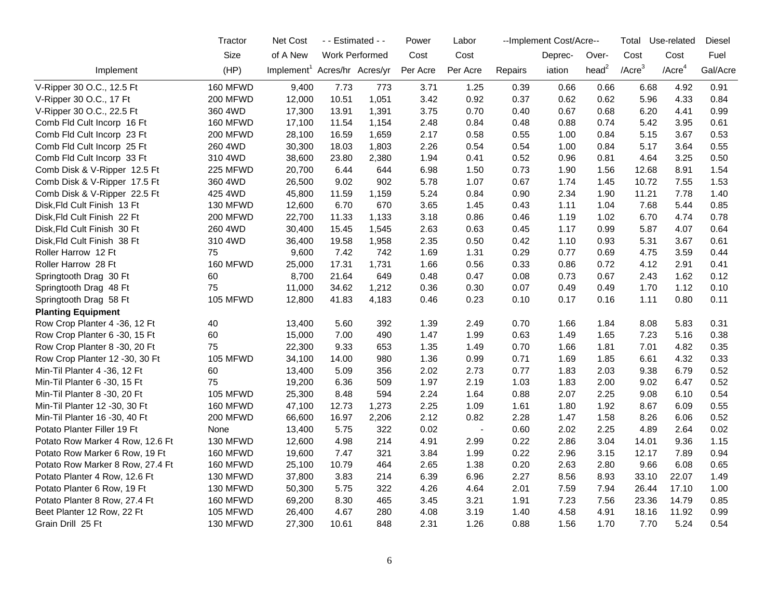|                                  | Tractor         | <b>Net Cost</b>                          | - - Estimated - - |                | Power    | Labor    |         | --Implement Cost/Acre-- |                   | Total      | Use-related           | Diesel   |
|----------------------------------|-----------------|------------------------------------------|-------------------|----------------|----------|----------|---------|-------------------------|-------------------|------------|-----------------------|----------|
|                                  | Size            | of A New                                 |                   | Work Performed | Cost     | Cost     |         | Deprec-                 | Over-             | Cost       | Cost                  | Fuel     |
| Implement                        | (HP)            | Implement <sup>1</sup> Acres/hr Acres/yr |                   |                | Per Acre | Per Acre | Repairs | iation                  | head <sup>2</sup> | / $Accre3$ | $/$ Acre <sup>4</sup> | Gal/Acre |
| V-Ripper 30 O.C., 12.5 Ft        | 160 MFWD        | 9,400                                    | 7.73              | 773            | 3.71     | 1.25     | 0.39    | 0.66                    | 0.66              | 6.68       | 4.92                  | 0.91     |
| V-Ripper 30 O.C., 17 Ft          | <b>200 MFWD</b> | 12,000                                   | 10.51             | 1,051          | 3.42     | 0.92     | 0.37    | 0.62                    | 0.62              | 5.96       | 4.33                  | 0.84     |
| V-Ripper 30 O.C., 22.5 Ft        | 360 4WD         | 17,300                                   | 13.91             | 1,391          | 3.75     | 0.70     | 0.40    | 0.67                    | 0.68              | 6.20       | 4.41                  | 0.99     |
| Comb Fld Cult Incorp 16 Ft       | <b>160 MFWD</b> | 17,100                                   | 11.54             | 1,154          | 2.48     | 0.84     | 0.48    | 0.88                    | 0.74              | 5.42       | 3.95                  | 0.61     |
| Comb Fld Cult Incorp 23 Ft       | <b>200 MFWD</b> | 28,100                                   | 16.59             | 1,659          | 2.17     | 0.58     | 0.55    | 1.00                    | 0.84              | 5.15       | 3.67                  | 0.53     |
| Comb Fld Cult Incorp 25 Ft       | 260 4WD         | 30,300                                   | 18.03             | 1,803          | 2.26     | 0.54     | 0.54    | 1.00                    | 0.84              | 5.17       | 3.64                  | 0.55     |
| Comb Fld Cult Incorp 33 Ft       | 310 4WD         | 38,600                                   | 23.80             | 2,380          | 1.94     | 0.41     | 0.52    | 0.96                    | 0.81              | 4.64       | 3.25                  | 0.50     |
| Comb Disk & V-Ripper 12.5 Ft     | 225 MFWD        | 20,700                                   | 6.44              | 644            | 6.98     | 1.50     | 0.73    | 1.90                    | 1.56              | 12.68      | 8.91                  | 1.54     |
| Comb Disk & V-Ripper 17.5 Ft     | 360 4WD         | 26,500                                   | 9.02              | 902            | 5.78     | 1.07     | 0.67    | 1.74                    | 1.45              | 10.72      | 7.55                  | 1.53     |
| Comb Disk & V-Ripper 22.5 Ft     | 425 4WD         | 45,800                                   | 11.59             | 1,159          | 5.24     | 0.84     | 0.90    | 2.34                    | 1.90              | 11.21      | 7.78                  | 1.40     |
| Disk, Fld Cult Finish 13 Ft      | 130 MFWD        | 12,600                                   | 6.70              | 670            | 3.65     | 1.45     | 0.43    | 1.11                    | 1.04              | 7.68       | 5.44                  | 0.85     |
| Disk, Fld Cult Finish 22 Ft      | 200 MFWD        | 22,700                                   | 11.33             | 1,133          | 3.18     | 0.86     | 0.46    | 1.19                    | 1.02              | 6.70       | 4.74                  | 0.78     |
| Disk, Fld Cult Finish 30 Ft      | 260 4WD         | 30,400                                   | 15.45             | 1,545          | 2.63     | 0.63     | 0.45    | 1.17                    | 0.99              | 5.87       | 4.07                  | 0.64     |
| Disk, Fld Cult Finish 38 Ft      | 310 4WD         | 36,400                                   | 19.58             | 1,958          | 2.35     | 0.50     | 0.42    | 1.10                    | 0.93              | 5.31       | 3.67                  | 0.61     |
| Roller Harrow 12 Ft              | 75              | 9,600                                    | 7.42              | 742            | 1.69     | 1.31     | 0.29    | 0.77                    | 0.69              | 4.75       | 3.59                  | 0.44     |
| Roller Harrow 28 Ft              | 160 MFWD        | 25,000                                   | 17.31             | 1,731          | 1.66     | 0.56     | 0.33    | 0.86                    | 0.72              | 4.12       | 2.91                  | 0.41     |
| Springtooth Drag 30 Ft           | 60              | 8,700                                    | 21.64             | 649            | 0.48     | 0.47     | 0.08    | 0.73                    | 0.67              | 2.43       | 1.62                  | 0.12     |
| Springtooth Drag 48 Ft           | 75              | 11,000                                   | 34.62             | 1,212          | 0.36     | 0.30     | 0.07    | 0.49                    | 0.49              | 1.70       | 1.12                  | 0.10     |
| Springtooth Drag 58 Ft           | 105 MFWD        | 12,800                                   | 41.83             | 4,183          | 0.46     | 0.23     | 0.10    | 0.17                    | 0.16              | 1.11       | 0.80                  | 0.11     |
| <b>Planting Equipment</b>        |                 |                                          |                   |                |          |          |         |                         |                   |            |                       |          |
| Row Crop Planter 4 -36, 12 Ft    | 40              | 13,400                                   | 5.60              | 392            | 1.39     | 2.49     | 0.70    | 1.66                    | 1.84              | 8.08       | 5.83                  | 0.31     |
| Row Crop Planter 6 -30, 15 Ft    | 60              | 15,000                                   | 7.00              | 490            | 1.47     | 1.99     | 0.63    | 1.49                    | 1.65              | 7.23       | 5.16                  | 0.38     |
| Row Crop Planter 8 -30, 20 Ft    | 75              | 22,300                                   | 9.33              | 653            | 1.35     | 1.49     | 0.70    | 1.66                    | 1.81              | 7.01       | 4.82                  | 0.35     |
| Row Crop Planter 12 -30, 30 Ft   | 105 MFWD        | 34,100                                   | 14.00             | 980            | 1.36     | 0.99     | 0.71    | 1.69                    | 1.85              | 6.61       | 4.32                  | 0.33     |
| Min-Til Planter 4 -36, 12 Ft     | 60              | 13,400                                   | 5.09              | 356            | 2.02     | 2.73     | 0.77    | 1.83                    | 2.03              | 9.38       | 6.79                  | 0.52     |
| Min-Til Planter 6 -30, 15 Ft     | 75              | 19,200                                   | 6.36              | 509            | 1.97     | 2.19     | 1.03    | 1.83                    | 2.00              | 9.02       | 6.47                  | 0.52     |
| Min-Til Planter 8 -30, 20 Ft     | <b>105 MFWD</b> | 25,300                                   | 8.48              | 594            | 2.24     | 1.64     | 0.88    | 2.07                    | 2.25              | 9.08       | 6.10                  | 0.54     |
| Min-Til Planter 12 -30, 30 Ft    | 160 MFWD        | 47,100                                   | 12.73             | 1,273          | 2.25     | 1.09     | 1.61    | 1.80                    | 1.92              | 8.67       | 6.09                  | 0.55     |
| Min-Til Planter 16 -30, 40 Ft    | <b>200 MFWD</b> | 66,600                                   | 16.97             | 2,206          | 2.12     | 0.82     | 2.28    | 1.47                    | 1.58              | 8.26       | 6.06                  | 0.52     |
| Potato Planter Filler 19 Ft      | None            | 13,400                                   | 5.75              | 322            | 0.02     | $\sim$   | 0.60    | 2.02                    | 2.25              | 4.89       | 2.64                  | 0.02     |
| Potato Row Marker 4 Row, 12.6 Ft | 130 MFWD        | 12,600                                   | 4.98              | 214            | 4.91     | 2.99     | 0.22    | 2.86                    | 3.04              | 14.01      | 9.36                  | 1.15     |
| Potato Row Marker 6 Row, 19 Ft   | 160 MFWD        | 19,600                                   | 7.47              | 321            | 3.84     | 1.99     | 0.22    | 2.96                    | 3.15              | 12.17      | 7.89                  | 0.94     |
| Potato Row Marker 8 Row, 27.4 Ft | 160 MFWD        | 25,100                                   | 10.79             | 464            | 2.65     | 1.38     | 0.20    | 2.63                    | 2.80              | 9.66       | 6.08                  | 0.65     |
| Potato Planter 4 Row, 12.6 Ft    | 130 MFWD        | 37,800                                   | 3.83              | 214            | 6.39     | 6.96     | 2.27    | 8.56                    | 8.93              | 33.10      | 22.07                 | 1.49     |
| Potato Planter 6 Row, 19 Ft      | 130 MFWD        | 50,300                                   | 5.75              | 322            | 4.26     | 4.64     | 2.01    | 7.59                    | 7.94              | 26.44      | 17.10                 | 1.00     |
| Potato Planter 8 Row, 27.4 Ft    | 160 MFWD        | 69,200                                   | 8.30              | 465            | 3.45     | 3.21     | 1.91    | 7.23                    | 7.56              | 23.36      | 14.79                 | 0.85     |
| Beet Planter 12 Row, 22 Ft       | <b>105 MFWD</b> | 26,400                                   | 4.67              | 280            | 4.08     | 3.19     | 1.40    | 4.58                    | 4.91              | 18.16      | 11.92                 | 0.99     |
| Grain Drill 25 Ft                | 130 MFWD        | 27,300                                   | 10.61             | 848            | 2.31     | 1.26     | 0.88    | 1.56                    | 1.70              | 7.70       | 5.24                  | 0.54     |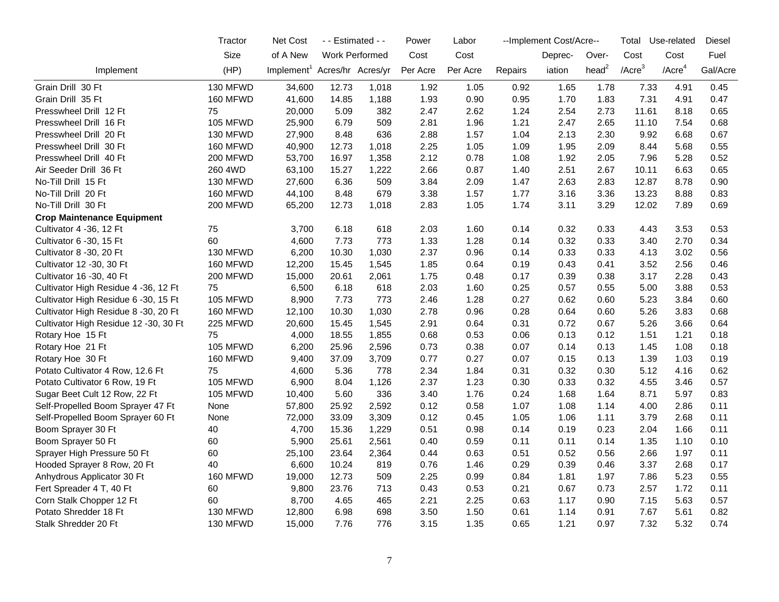|                                       | Tractor         | <b>Net Cost</b>                          | - - Estimated - - |       | Power    | Labor    |         | --Implement Cost/Acre-- |                   | Total        | Use-related           | <b>Diesel</b> |
|---------------------------------------|-----------------|------------------------------------------|-------------------|-------|----------|----------|---------|-------------------------|-------------------|--------------|-----------------------|---------------|
|                                       | Size            | of A New                                 | Work Performed    |       | Cost     | Cost     |         | Deprec-                 | Over-             | Cost         | Cost                  | Fuel          |
| Implement                             | (HP)            | Implement <sup>1</sup> Acres/hr Acres/yr |                   |       | Per Acre | Per Acre | Repairs | iation                  | head <sup>2</sup> | $/$ Acre $3$ | $/$ Acre <sup>4</sup> | Gal/Acre      |
| Grain Drill 30 Ft                     | 130 MFWD        | 34,600                                   | 12.73             | 1,018 | 1.92     | 1.05     | 0.92    | 1.65                    | 1.78              | 7.33         | 4.91                  | 0.45          |
| Grain Drill 35 Ft                     | 160 MFWD        | 41,600                                   | 14.85             | 1,188 | 1.93     | 0.90     | 0.95    | 1.70                    | 1.83              | 7.31         | 4.91                  | 0.47          |
| Presswheel Drill 12 Ft                | 75              | 20,000                                   | 5.09              | 382   | 2.47     | 2.62     | 1.24    | 2.54                    | 2.73              | 11.61        | 8.18                  | 0.65          |
| Presswheel Drill 16 Ft                | <b>105 MFWD</b> | 25,900                                   | 6.79              | 509   | 2.81     | 1.96     | 1.21    | 2.47                    | 2.65              | 11.10        | 7.54                  | 0.68          |
| Presswheel Drill 20 Ft                | 130 MFWD        | 27,900                                   | 8.48              | 636   | 2.88     | 1.57     | 1.04    | 2.13                    | 2.30              | 9.92         | 6.68                  | 0.67          |
| Presswheel Drill 30 Ft                | 160 MFWD        | 40,900                                   | 12.73             | 1,018 | 2.25     | 1.05     | 1.09    | 1.95                    | 2.09              | 8.44         | 5.68                  | 0.55          |
| Presswheel Drill 40 Ft                | <b>200 MFWD</b> | 53,700                                   | 16.97             | 1,358 | 2.12     | 0.78     | 1.08    | 1.92                    | 2.05              | 7.96         | 5.28                  | 0.52          |
| Air Seeder Drill 36 Ft                | 260 4WD         | 63,100                                   | 15.27             | 1,222 | 2.66     | 0.87     | 1.40    | 2.51                    | 2.67              | 10.11        | 6.63                  | 0.65          |
| No-Till Drill 15 Ft                   | 130 MFWD        | 27,600                                   | 6.36              | 509   | 3.84     | 2.09     | 1.47    | 2.63                    | 2.83              | 12.87        | 8.78                  | 0.90          |
| No-Till Drill 20 Ft                   | 160 MFWD        | 44,100                                   | 8.48              | 679   | 3.38     | 1.57     | 1.77    | 3.16                    | 3.36              | 13.23        | 8.88                  | 0.83          |
| No-Till Drill 30 Ft                   | <b>200 MFWD</b> | 65,200                                   | 12.73             | 1,018 | 2.83     | 1.05     | 1.74    | 3.11                    | 3.29              | 12.02        | 7.89                  | 0.69          |
| <b>Crop Maintenance Equipment</b>     |                 |                                          |                   |       |          |          |         |                         |                   |              |                       |               |
| Cultivator 4 -36, 12 Ft               | 75              | 3,700                                    | 6.18              | 618   | 2.03     | 1.60     | 0.14    | 0.32                    | 0.33              | 4.43         | 3.53                  | 0.53          |
| Cultivator 6 -30, 15 Ft               | 60              | 4,600                                    | 7.73              | 773   | 1.33     | 1.28     | 0.14    | 0.32                    | 0.33              | 3.40         | 2.70                  | 0.34          |
| Cultivator 8 -30, 20 Ft               | 130 MFWD        | 6,200                                    | 10.30             | 1,030 | 2.37     | 0.96     | 0.14    | 0.33                    | 0.33              | 4.13         | 3.02                  | 0.56          |
| Cultivator 12 -30, 30 Ft              | <b>160 MFWD</b> | 12,200                                   | 15.45             | 1,545 | 1.85     | 0.64     | 0.19    | 0.43                    | 0.41              | 3.52         | 2.56                  | 0.46          |
| Cultivator 16 - 30, 40 Ft             | <b>200 MFWD</b> | 15,000                                   | 20.61             | 2,061 | 1.75     | 0.48     | 0.17    | 0.39                    | 0.38              | 3.17         | 2.28                  | 0.43          |
| Cultivator High Residue 4 -36, 12 Ft  | 75              | 6,500                                    | 6.18              | 618   | 2.03     | 1.60     | 0.25    | 0.57                    | 0.55              | 5.00         | 3.88                  | 0.53          |
| Cultivator High Residue 6 -30, 15 Ft  | 105 MFWD        | 8,900                                    | 7.73              | 773   | 2.46     | 1.28     | 0.27    | 0.62                    | 0.60              | 5.23         | 3.84                  | 0.60          |
| Cultivator High Residue 8 -30, 20 Ft  | 160 MFWD        | 12,100                                   | 10.30             | 1,030 | 2.78     | 0.96     | 0.28    | 0.64                    | 0.60              | 5.26         | 3.83                  | 0.68          |
| Cultivator High Residue 12 -30, 30 Ft | 225 MFWD        | 20,600                                   | 15.45             | 1,545 | 2.91     | 0.64     | 0.31    | 0.72                    | 0.67              | 5.26         | 3.66                  | 0.64          |
| Rotary Hoe 15 Ft                      | 75              | 4,000                                    | 18.55             | 1,855 | 0.68     | 0.53     | 0.06    | 0.13                    | 0.12              | 1.51         | 1.21                  | 0.18          |
| Rotary Hoe 21 Ft                      | 105 MFWD        | 6,200                                    | 25.96             | 2,596 | 0.73     | 0.38     | 0.07    | 0.14                    | 0.13              | 1.45         | 1.08                  | 0.18          |
| Rotary Hoe 30 Ft                      | <b>160 MFWD</b> | 9,400                                    | 37.09             | 3,709 | 0.77     | 0.27     | 0.07    | 0.15                    | 0.13              | 1.39         | 1.03                  | 0.19          |
| Potato Cultivator 4 Row, 12.6 Ft      | 75              | 4,600                                    | 5.36              | 778   | 2.34     | 1.84     | 0.31    | 0.32                    | 0.30              | 5.12         | 4.16                  | 0.62          |
| Potato Cultivator 6 Row, 19 Ft        | 105 MFWD        | 6,900                                    | 8.04              | 1,126 | 2.37     | 1.23     | 0.30    | 0.33                    | 0.32              | 4.55         | 3.46                  | 0.57          |
| Sugar Beet Cult 12 Row, 22 Ft         | <b>105 MFWD</b> | 10,400                                   | 5.60              | 336   | 3.40     | 1.76     | 0.24    | 1.68                    | 1.64              | 8.71         | 5.97                  | 0.83          |
| Self-Propelled Boom Sprayer 47 Ft     | None            | 57,800                                   | 25.92             | 2,592 | 0.12     | 0.58     | 1.07    | 1.08                    | 1.14              | 4.00         | 2.86                  | 0.11          |
| Self-Propelled Boom Sprayer 60 Ft     | None            | 72,000                                   | 33.09             | 3,309 | 0.12     | 0.45     | 1.05    | 1.06                    | 1.11              | 3.79         | 2.68                  | 0.11          |
| Boom Sprayer 30 Ft                    | 40              | 4,700                                    | 15.36             | 1,229 | 0.51     | 0.98     | 0.14    | 0.19                    | 0.23              | 2.04         | 1.66                  | 0.11          |
| Boom Sprayer 50 Ft                    | 60              | 5,900                                    | 25.61             | 2,561 | 0.40     | 0.59     | 0.11    | 0.11                    | 0.14              | 1.35         | 1.10                  | 0.10          |
| Sprayer High Pressure 50 Ft           | 60              | 25,100                                   | 23.64             | 2,364 | 0.44     | 0.63     | 0.51    | 0.52                    | 0.56              | 2.66         | 1.97                  | 0.11          |
| Hooded Sprayer 8 Row, 20 Ft           | 40              | 6,600                                    | 10.24             | 819   | 0.76     | 1.46     | 0.29    | 0.39                    | 0.46              | 3.37         | 2.68                  | 0.17          |
| Anhydrous Applicator 30 Ft            | 160 MFWD        | 19,000                                   | 12.73             | 509   | 2.25     | 0.99     | 0.84    | 1.81                    | 1.97              | 7.86         | 5.23                  | 0.55          |
| Fert Spreader 4 T, 40 Ft              | 60              | 9,800                                    | 23.76             | 713   | 0.43     | 0.53     | 0.21    | 0.67                    | 0.73              | 2.57         | 1.72                  | 0.11          |
| Corn Stalk Chopper 12 Ft              | 60              | 8,700                                    | 4.65              | 465   | 2.21     | 2.25     | 0.63    | 1.17                    | 0.90              | 7.15         | 5.63                  | 0.57          |
| Potato Shredder 18 Ft                 | 130 MFWD        | 12,800                                   | 6.98              | 698   | 3.50     | 1.50     | 0.61    | 1.14                    | 0.91              | 7.67         | 5.61                  | 0.82          |
| Stalk Shredder 20 Ft                  | 130 MFWD        | 15,000                                   | 7.76              | 776   | 3.15     | 1.35     | 0.65    | 1.21                    | 0.97              | 7.32         | 5.32                  | 0.74          |
|                                       |                 |                                          |                   |       |          |          |         |                         |                   |              |                       |               |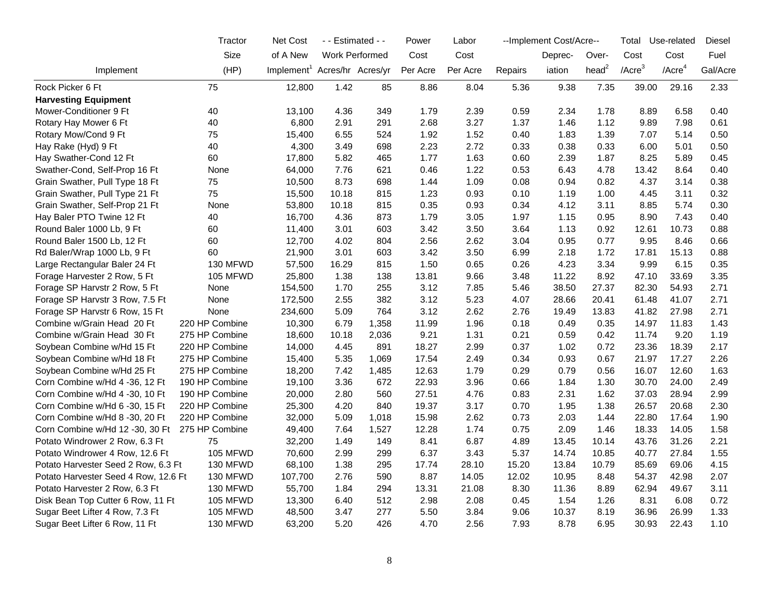|                                      | Tractor         | Net Cost                                 | - - Estimated - -     |       | Power    | Labor    |         | --Implement Cost/Acre-- |                   | Total        | Use-related           | Diesel   |
|--------------------------------------|-----------------|------------------------------------------|-----------------------|-------|----------|----------|---------|-------------------------|-------------------|--------------|-----------------------|----------|
|                                      | Size            | of A New                                 | <b>Work Performed</b> |       | Cost     | Cost     |         | Deprec-                 | Over-             | Cost         | Cost                  | Fuel     |
| Implement                            | (HP)            | Implement <sup>1</sup> Acres/hr Acres/yr |                       |       | Per Acre | Per Acre | Repairs | iation                  | head <sup>2</sup> | $/$ Acre $3$ | $/$ Acre <sup>4</sup> | Gal/Acre |
| Rock Picker 6 Ft                     | 75              | 12,800                                   | 1.42                  | 85    | 8.86     | 8.04     | 5.36    | 9.38                    | 7.35              | 39.00        | 29.16                 | 2.33     |
| <b>Harvesting Equipment</b>          |                 |                                          |                       |       |          |          |         |                         |                   |              |                       |          |
| Mower-Conditioner 9 Ft               | 40              | 13,100                                   | 4.36                  | 349   | 1.79     | 2.39     | 0.59    | 2.34                    | 1.78              | 8.89         | 6.58                  | 0.40     |
| Rotary Hay Mower 6 Ft                | 40              | 6,800                                    | 2.91                  | 291   | 2.68     | 3.27     | 1.37    | 1.46                    | 1.12              | 9.89         | 7.98                  | 0.61     |
| Rotary Mow/Cond 9 Ft                 | 75              | 15,400                                   | 6.55                  | 524   | 1.92     | 1.52     | 0.40    | 1.83                    | 1.39              | 7.07         | 5.14                  | 0.50     |
| Hay Rake (Hyd) 9 Ft                  | 40              | 4,300                                    | 3.49                  | 698   | 2.23     | 2.72     | 0.33    | 0.38                    | 0.33              | 6.00         | 5.01                  | 0.50     |
| Hay Swather-Cond 12 Ft               | 60              | 17,800                                   | 5.82                  | 465   | 1.77     | 1.63     | 0.60    | 2.39                    | 1.87              | 8.25         | 5.89                  | 0.45     |
| Swather-Cond, Self-Prop 16 Ft        | None            | 64,000                                   | 7.76                  | 621   | 0.46     | 1.22     | 0.53    | 6.43                    | 4.78              | 13.42        | 8.64                  | 0.40     |
| Grain Swather, Pull Type 18 Ft       | 75              | 10,500                                   | 8.73                  | 698   | 1.44     | 1.09     | 0.08    | 0.94                    | 0.82              | 4.37         | 3.14                  | 0.38     |
| Grain Swather, Pull Type 21 Ft       | 75              | 15,500                                   | 10.18                 | 815   | 1.23     | 0.93     | 0.10    | 1.19                    | 1.00              | 4.45         | 3.11                  | 0.32     |
| Grain Swather, Self-Prop 21 Ft       | None            | 53,800                                   | 10.18                 | 815   | 0.35     | 0.93     | 0.34    | 4.12                    | 3.11              | 8.85         | 5.74                  | 0.30     |
| Hay Baler PTO Twine 12 Ft            | 40              | 16,700                                   | 4.36                  | 873   | 1.79     | 3.05     | 1.97    | 1.15                    | 0.95              | 8.90         | 7.43                  | 0.40     |
| Round Baler 1000 Lb, 9 Ft            | 60              | 11,400                                   | 3.01                  | 603   | 3.42     | 3.50     | 3.64    | 1.13                    | 0.92              | 12.61        | 10.73                 | 0.88     |
| Round Baler 1500 Lb, 12 Ft           | 60              | 12,700                                   | 4.02                  | 804   | 2.56     | 2.62     | 3.04    | 0.95                    | 0.77              | 9.95         | 8.46                  | 0.66     |
| Rd Baler/Wrap 1000 Lb, 9 Ft          | 60              | 21,900                                   | 3.01                  | 603   | 3.42     | 3.50     | 6.99    | 2.18                    | 1.72              | 17.81        | 15.13                 | 0.88     |
| Large Rectangular Baler 24 Ft        | 130 MFWD        | 57,500                                   | 16.29                 | 815   | 1.50     | 0.65     | 0.26    | 4.23                    | 3.34              | 9.99         | 6.15                  | 0.35     |
| Forage Harvester 2 Row, 5 Ft         | <b>105 MFWD</b> | 25,800                                   | 1.38                  | 138   | 13.81    | 9.66     | 3.48    | 11.22                   | 8.92              | 47.10        | 33.69                 | 3.35     |
| Forage SP Harvstr 2 Row, 5 Ft        | None            | 154,500                                  | 1.70                  | 255   | 3.12     | 7.85     | 5.46    | 38.50                   | 27.37             | 82.30        | 54.93                 | 2.71     |
| Forage SP Harvstr 3 Row, 7.5 Ft      | None            | 172,500                                  | 2.55                  | 382   | 3.12     | 5.23     | 4.07    | 28.66                   | 20.41             | 61.48        | 41.07                 | 2.71     |
| Forage SP Harvstr 6 Row, 15 Ft       | None            | 234,600                                  | 5.09                  | 764   | 3.12     | 2.62     | 2.76    | 19.49                   | 13.83             | 41.82        | 27.98                 | 2.71     |
| Combine w/Grain Head 20 Ft           | 220 HP Combine  | 10,300                                   | 6.79                  | 1,358 | 11.99    | 1.96     | 0.18    | 0.49                    | 0.35              | 14.97        | 11.83                 | 1.43     |
| Combine w/Grain Head 30 Ft           | 275 HP Combine  | 18,600                                   | 10.18                 | 2,036 | 9.21     | 1.31     | 0.21    | 0.59                    | 0.42              | 11.74        | 9.20                  | 1.19     |
| Soybean Combine w/Hd 15 Ft           | 220 HP Combine  | 14,000                                   | 4.45                  | 891   | 18.27    | 2.99     | 0.37    | 1.02                    | 0.72              | 23.36        | 18.39                 | 2.17     |
| Soybean Combine w/Hd 18 Ft           | 275 HP Combine  | 15,400                                   | 5.35                  | 1,069 | 17.54    | 2.49     | 0.34    | 0.93                    | 0.67              | 21.97        | 17.27                 | 2.26     |
| Soybean Combine w/Hd 25 Ft           | 275 HP Combine  | 18,200                                   | 7.42                  | 1,485 | 12.63    | 1.79     | 0.29    | 0.79                    | 0.56              | 16.07        | 12.60                 | 1.63     |
| Corn Combine w/Hd 4 -36, 12 Ft       | 190 HP Combine  | 19,100                                   | 3.36                  | 672   | 22.93    | 3.96     | 0.66    | 1.84                    | 1.30              | 30.70        | 24.00                 | 2.49     |
| Corn Combine w/Hd 4 -30, 10 Ft       | 190 HP Combine  | 20,000                                   | 2.80                  | 560   | 27.51    | 4.76     | 0.83    | 2.31                    | 1.62              | 37.03        | 28.94                 | 2.99     |
| Corn Combine w/Hd 6 -30, 15 Ft       | 220 HP Combine  | 25,300                                   | 4.20                  | 840   | 19.37    | 3.17     | 0.70    | 1.95                    | 1.38              | 26.57        | 20.68                 | 2.30     |
| Corn Combine w/Hd 8 -30, 20 Ft       | 220 HP Combine  | 32,000                                   | 5.09                  | 1,018 | 15.98    | 2.62     | 0.73    | 2.03                    | 1.44              | 22.80        | 17.64                 | 1.90     |
| Corn Combine w/Hd 12 -30, 30 Ft      | 275 HP Combine  | 49,400                                   | 7.64                  | 1,527 | 12.28    | 1.74     | 0.75    | 2.09                    | 1.46              | 18.33        | 14.05                 | 1.58     |
| Potato Windrower 2 Row, 6.3 Ft       | 75              | 32,200                                   | 1.49                  | 149   | 8.41     | 6.87     | 4.89    | 13.45                   | 10.14             | 43.76        | 31.26                 | 2.21     |
| Potato Windrower 4 Row, 12.6 Ft      | 105 MFWD        | 70,600                                   | 2.99                  | 299   | 6.37     | 3.43     | 5.37    | 14.74                   | 10.85             | 40.77        | 27.84                 | 1.55     |
| Potato Harvester Seed 2 Row, 6.3 Ft  | 130 MFWD        | 68,100                                   | 1.38                  | 295   | 17.74    | 28.10    | 15.20   | 13.84                   | 10.79             | 85.69        | 69.06                 | 4.15     |
| Potato Harvester Seed 4 Row, 12.6 Ft | 130 MFWD        | 107,700                                  | 2.76                  | 590   | 8.87     | 14.05    | 12.02   | 10.95                   | 8.48              | 54.37        | 42.98                 | 2.07     |
| Potato Harvester 2 Row, 6.3 Ft       | 130 MFWD        | 55,700                                   | 1.84                  | 294   | 13.31    | 21.08    | 8.30    | 11.36                   | 8.89              | 62.94        | 49.67                 | 3.11     |
| Disk Bean Top Cutter 6 Row, 11 Ft    | <b>105 MFWD</b> | 13,300                                   | 6.40                  | 512   | 2.98     | 2.08     | 0.45    | 1.54                    | 1.26              | 8.31         | 6.08                  | 0.72     |
| Sugar Beet Lifter 4 Row, 7.3 Ft      | <b>105 MFWD</b> | 48,500                                   | 3.47                  | 277   | 5.50     | 3.84     | 9.06    | 10.37                   | 8.19              | 36.96        | 26.99                 | 1.33     |
| Sugar Beet Lifter 6 Row, 11 Ft       | 130 MFWD        | 63,200                                   | 5.20                  | 426   | 4.70     | 2.56     | 7.93    | 8.78                    | 6.95              | 30.93        | 22.43                 | 1.10     |